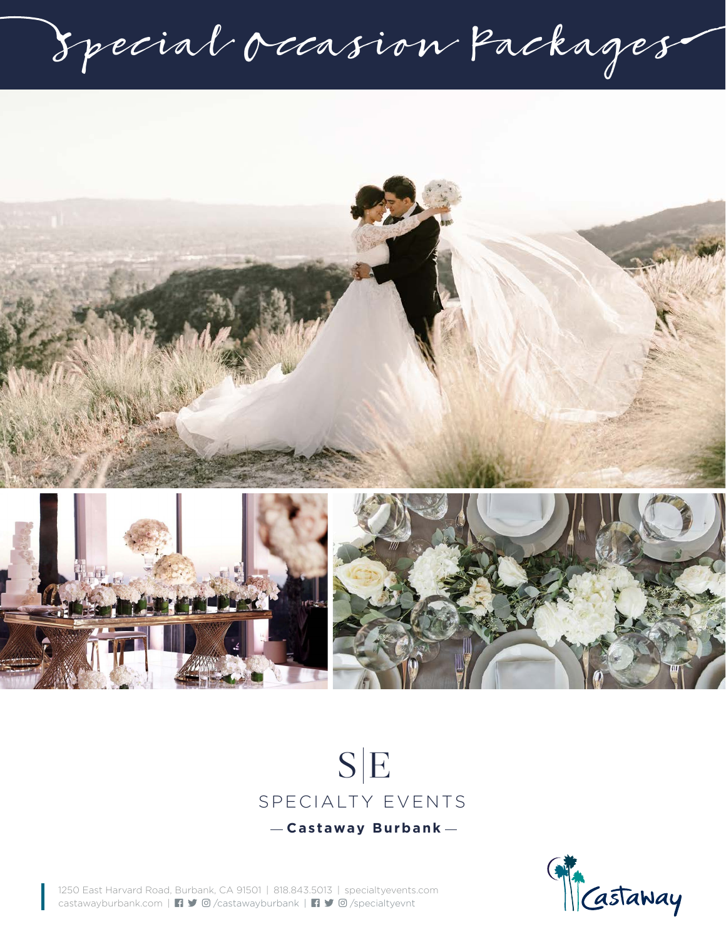Special Occasion Packages







1250 East Harvard Road, Burbank, CA 91501 | 818.843.5013 | specialtyevents.com castawayburbank.com | /castawayburbank | /specialtyevnt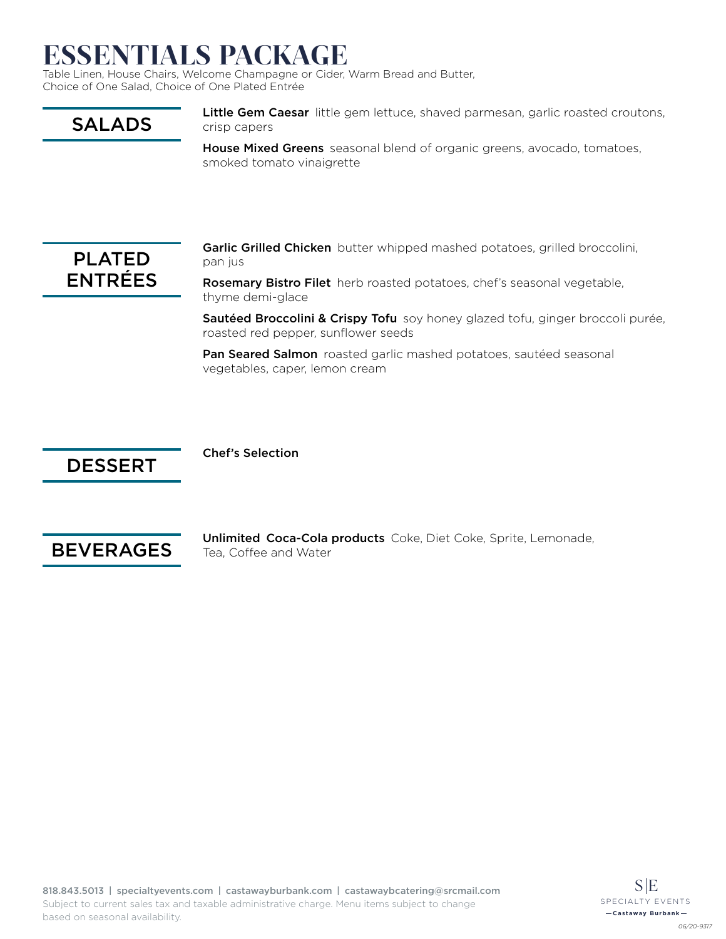## ESSENTIALS PACKAGE

Table Linen, House Chairs, Welcome Champagne or Cider, Warm Bread and Butter, Choice of One Salad, Choice of One Plated Entrée

## SALADS

Little Gem Caesar little gem lettuce, shaved parmesan, garlic roasted croutons, crisp capers

House Mixed Greens seasonal blend of organic greens, avocado, tomatoes, smoked tomato vinaigrette



Garlic Grilled Chicken butter whipped mashed potatoes, grilled broccolini, pan jus

Rosemary Bistro Filet herb roasted potatoes, chef's seasonal vegetable, thyme demi-glace

Sautéed Broccolini & Crispy Tofu soy honey glazed tofu, ginger broccoli purée, roasted red pepper, sunflower seeds

Pan Seared Salmon roasted garlic mashed potatoes, sautéed seasonal vegetables, caper, lemon cream

## DESSERT

Chef's Selection



Unlimited Coca-Cola products Coke, Diet Coke, Sprite, Lemonade, Tea, Coffee and Water

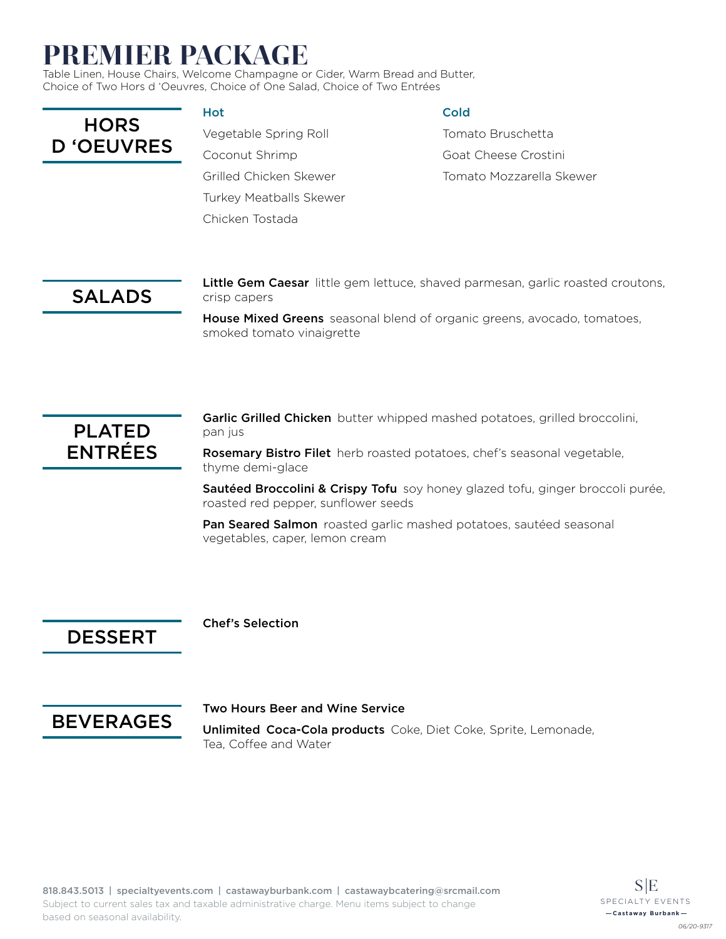## PREMIER PACKAGE

Table Linen, House Chairs, Welcome Champagne or Cider, Warm Bread and Butter, Choice of Two Hors d 'Oeuvres, Choice of One Salad, Choice of Two Entrées

**HORS** D 'OEUVRES

#### Hot

Vegetable Spring Roll Coconut Shrimp Grilled Chicken Skewer Turkey Meatballs Skewer Chicken Tostada

#### Cold

Tomato Bruschetta Goat Cheese Crostini Tomato Mozzarella Skewer

## SALADS

Little Gem Caesar little gem lettuce, shaved parmesan, garlic roasted croutons, crisp capers

House Mixed Greens seasonal blend of organic greens, avocado, tomatoes, smoked tomato vinaigrette



Garlic Grilled Chicken butter whipped mashed potatoes, grilled broccolini, pan jus

Rosemary Bistro Filet herb roasted potatoes, chef's seasonal vegetable, thyme demi-glace

Sautéed Broccolini & Crispy Tofu soy honey glazed tofu, ginger broccoli purée, roasted red pepper, sunflower seeds

Pan Seared Salmon roasted garlic mashed potatoes, sautéed seasonal vegetables, caper, lemon cream

### DESSERT

Chef's Selection



#### Two Hours Beer and Wine Service

Unlimited Coca-Cola products Coke, Diet Coke, Sprite, Lemonade, Tea, Coffee and Water

 $S/E$ SPECIALTY EVENTS **Castaway Burbank**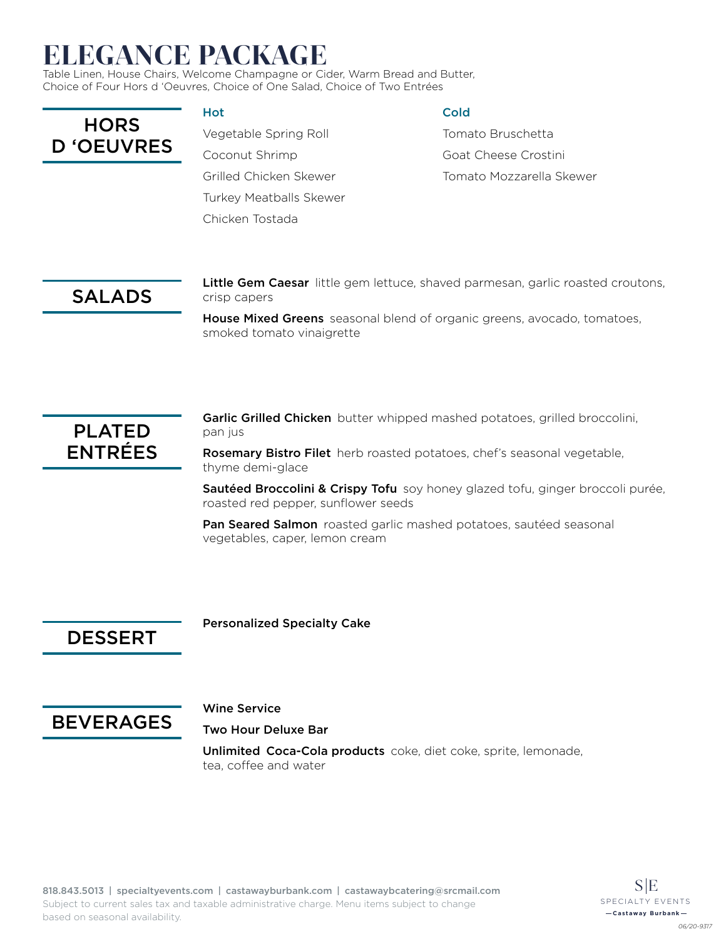# ELEGANCE PACKAGE

Table Linen, House Chairs, Welcome Champagne or Cider, Warm Bread and Butter, Choice of Four Hors d 'Oeuvres, Choice of One Salad, Choice of Two Entrées

**HORS** D 'OEUVRES

#### Hot

Vegetable Spring Roll Coconut Shrimp Grilled Chicken Skewer Turkey Meatballs Skewer Chicken Tostada

#### Cold

Tomato Bruschetta Goat Cheese Crostini Tomato Mozzarella Skewer

## SALADS

Little Gem Caesar little gem lettuce, shaved parmesan, garlic roasted croutons, crisp capers

House Mixed Greens seasonal blend of organic greens, avocado, tomatoes, smoked tomato vinaigrette



Garlic Grilled Chicken butter whipped mashed potatoes, grilled broccolini, pan jus

Rosemary Bistro Filet herb roasted potatoes, chef's seasonal vegetable, thyme demi-glace

Sautéed Broccolini & Crispy Tofu soy honey glazed tofu, ginger broccoli purée, roasted red pepper, sunflower seeds

Pan Seared Salmon roasted garlic mashed potatoes, sautéed seasonal vegetables, caper, lemon cream

### DESSERT

Personalized Specialty Cake



#### Wine Service

Two Hour Deluxe Bar

Unlimited Coca-Cola products coke, diet coke, sprite, lemonade, tea, coffee and water

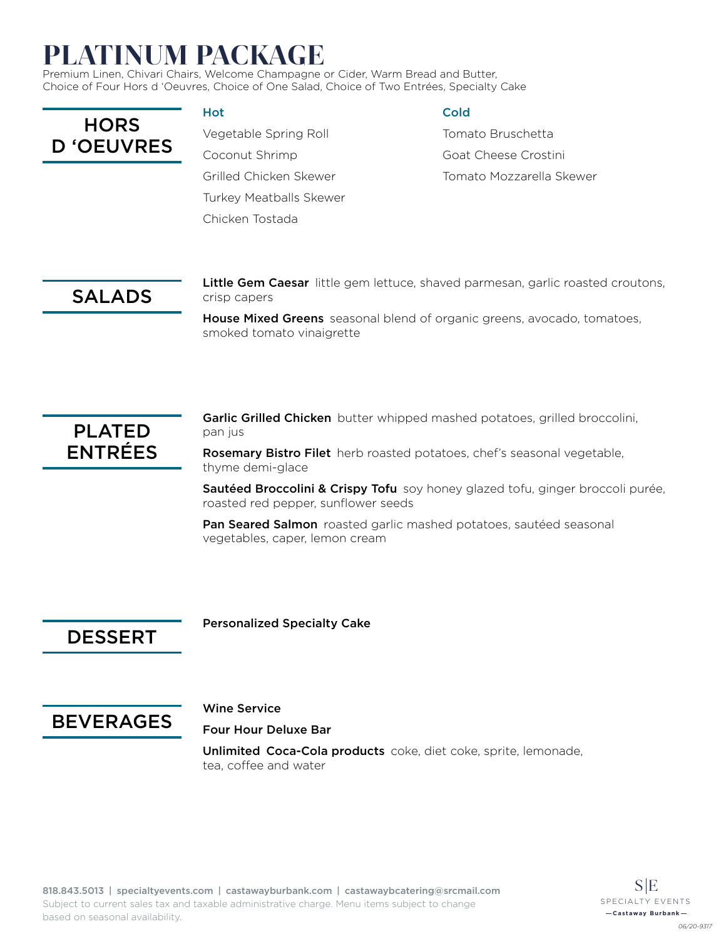# PLATINUM PACKAGE

Premium Linen, Chivari Chairs, Welcome Champagne or Cider, Warm Bread and Butter, Choice of Four Hors d 'Oeuvres, Choice of One Salad, Choice of Two Entrées, Specialty Cake

| <b>HORS</b>       |
|-------------------|
| <b>D</b> 'OEUVRES |

#### Hot

Vegetable Spring Roll Coconut Shrimp Grilled Chicken Skewer Turkey Meatballs Skewer Chicken Tostada

#### **Cold**

Tomato Bruschetta Goat Cheese Crostini Tomato Mozzarella Skewer

## SALADS

Little Gem Caesar little gem lettuce, shaved parmesan, garlic roasted croutons, crisp capers

House Mixed Greens seasonal blend of organic greens, avocado, tomatoes, smoked tomato vinaigrette



Garlic Grilled Chicken butter whipped mashed potatoes, grilled broccolini, pan jus

Rosemary Bistro Filet herb roasted potatoes, chef's seasonal vegetable, thyme demi-glace

Sautéed Broccolini & Crispy Tofu soy honey glazed tofu, ginger broccoli purée, roasted red pepper, sunflower seeds

Pan Seared Salmon roasted garlic mashed potatoes, sautéed seasonal vegetables, caper, lemon cream

### DESSERT

Personalized Specialty Cake



#### Wine Service

Four Hour Deluxe Bar

Unlimited Coca-Cola products coke, diet coke, sprite, lemonade, tea, coffee and water

*06/20-9317*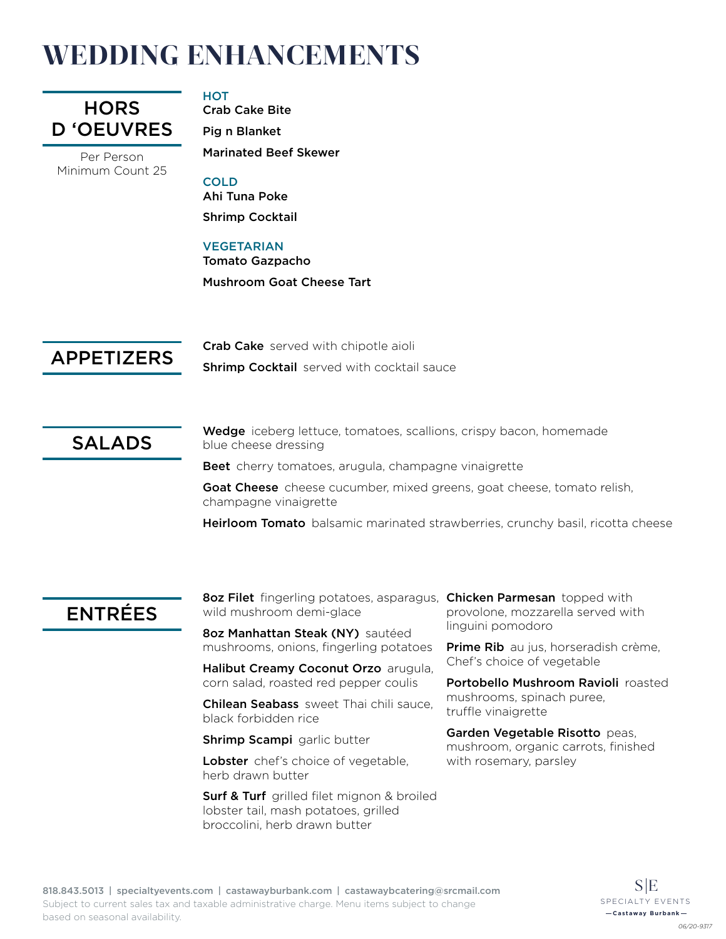# WEDDING ENHANCEMENTS



Per Person Minimum Count 25

#### **HOT**

Crab Cake Bite Pig n Blanket Marinated Beef Skewer

#### COLD

Ahi Tuna Poke Shrimp Cocktail

#### VEGETARIAN

Tomato Gazpacho Mushroom Goat Cheese Tart

APPETIZERS

Crab Cake served with chipotle aioli **Shrimp Cocktail** served with cocktail sauce

SALADS

Wedge iceberg lettuce, tomatoes, scallions, crispy bacon, homemade blue cheese dressing

Beet cherry tomatoes, arugula, champagne vinaigrette

Goat Cheese cheese cucumber, mixed greens, goat cheese, tomato relish, champagne vinaigrette

Heirloom Tomato balsamic marinated strawberries, crunchy basil, ricotta cheese

### ENTRÉES

8oz Filet fingerling potatoes, asparagus, Chicken Parmesan topped with wild mushroom demi-glace

8oz Manhattan Steak (NY) sautéed mushrooms, onions, fingerling potatoes

Halibut Creamy Coconut Orzo arugula, corn salad, roasted red pepper coulis

**Chilean Seabass** sweet Thai chili sauce, black forbidden rice

**Shrimp Scampi** garlic butter

Lobster chef's choice of vegetable, herb drawn butter

**Surf & Turf** grilled filet mignon & broiled lobster tail, mash potatoes, grilled broccolini, herb drawn butter

provolone, mozzarella served with linguini pomodoro

Prime Rib au jus, horseradish crème, Chef's choice of vegetable

Portobello Mushroom Ravioli roasted mushrooms, spinach puree, truffle vinaigrette

Garden Vegetable Risotto peas, mushroom, organic carrots, finished with rosemary, parsley

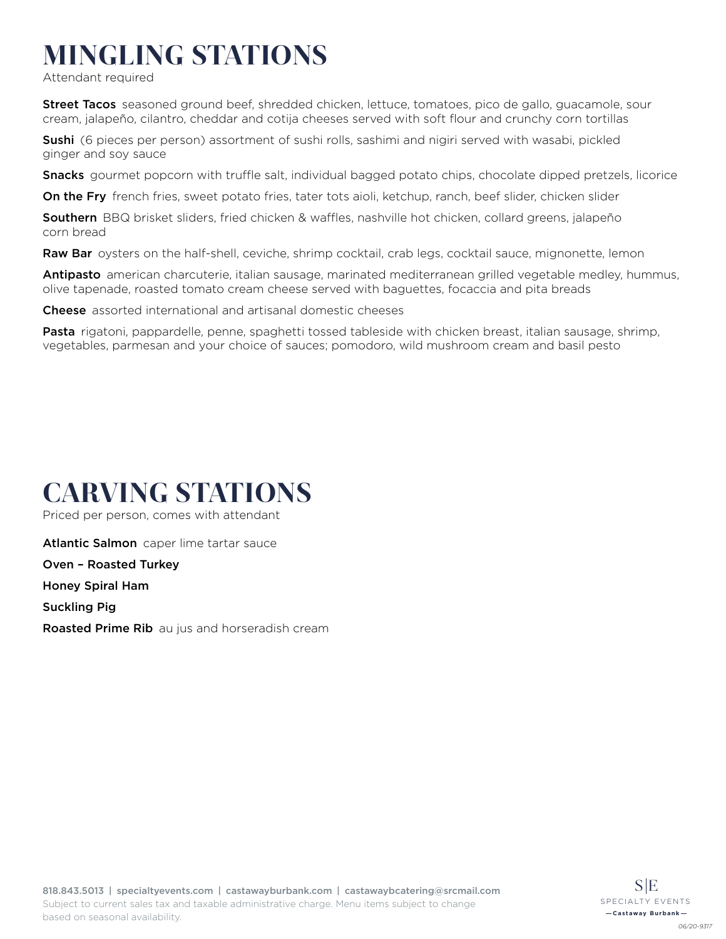# MINGLING STATIONS

Attendant required

Street Tacos seasoned ground beef, shredded chicken, lettuce, tomatoes, pico de gallo, guacamole, sour cream, jalapeño, cilantro, cheddar and cotija cheeses served with soft flour and crunchy corn tortillas

**Sushi** (6 pieces per person) assortment of sushi rolls, sashimi and nigiri served with wasabi, pickled ginger and soy sauce

Snacks gourmet popcorn with truffle salt, individual bagged potato chips, chocolate dipped pretzels, licorice

On the Fry french fries, sweet potato fries, tater tots aioli, ketchup, ranch, beef slider, chicken slider

Southern BBQ brisket sliders, fried chicken & waffles, nashville hot chicken, collard greens, jalapeño corn bread

Raw Bar oysters on the half-shell, ceviche, shrimp cocktail, crab legs, cocktail sauce, mignonette, lemon

Antipasto american charcuterie, italian sausage, marinated mediterranean grilled vegetable medley, hummus, olive tapenade, roasted tomato cream cheese served with baguettes, focaccia and pita breads

Cheese assorted international and artisanal domestic cheeses

Pasta rigatoni, pappardelle, penne, spaghetti tossed tableside with chicken breast, italian sausage, shrimp, vegetables, parmesan and your choice of sauces; pomodoro, wild mushroom cream and basil pesto

## CARVING STATIONS

Priced per person, comes with attendant

**Atlantic Salmon** caper lime tartar sauce

Oven – Roasted Turkey

Honey Spiral Ham

Suckling Pig

**Roasted Prime Rib** au jus and horseradish cream

*06/20-9317*